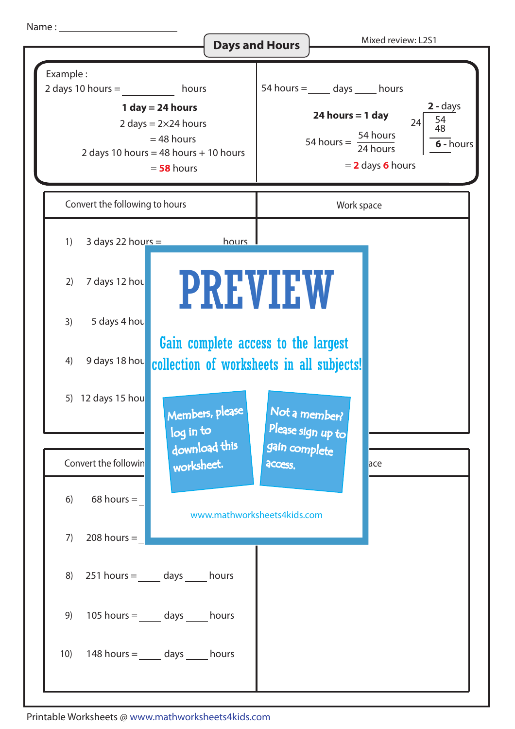